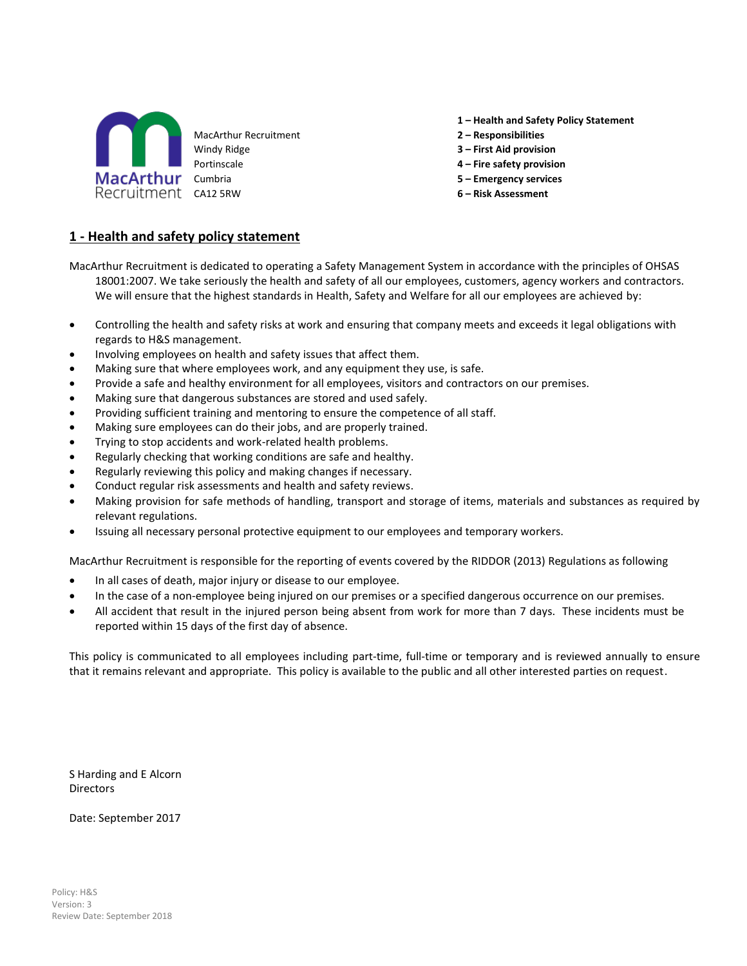

**1 – Health and Safety Policy Statement**

- MacArthur Recruitment **2 – Responsibilities**
- Windy Ridge **3 – First Aid provision**
- Portinscale **4 – Fire safety provision**
	-
	-

#### **1 - Health and safety policy statement**

- MacArthur Recruitment is dedicated to operating a Safety Management System in accordance with the principles of OHSAS 18001:2007. We take seriously the health and safety of all our employees, customers, agency workers and contractors. We will ensure that the highest standards in Health, Safety and Welfare for all our employees are achieved by:
- Controlling the health and safety risks at work and ensuring that company meets and exceeds it legal obligations with regards to H&S management.
- Involving employees on health and safety issues that affect them.
- Making sure that where employees work, and any equipment they use, is safe.
- Provide a safe and healthy environment for all employees, visitors and contractors on our premises.
- Making sure that dangerous substances are stored and used safely.
- Providing sufficient training and mentoring to ensure the competence of all staff.
- Making sure employees can do their jobs, and are properly trained.
- Trying to stop accidents and work-related health problems.
- Regularly checking that working conditions are safe and healthy.
- Regularly reviewing this policy and making changes if necessary.
- Conduct regular risk assessments and health and safety reviews.
- Making provision for safe methods of handling, transport and storage of items, materials and substances as required by relevant regulations.
- Issuing all necessary personal protective equipment to our employees and temporary workers.

MacArthur Recruitment is responsible for the reporting of events covered by the RIDDOR (2013) Regulations as following

- In all cases of death, major injury or disease to our employee.
- In the case of a non-employee being injured on our premises or a specified dangerous occurrence on our premises.
- All accident that result in the injured person being absent from work for more than 7 days. These incidents must be reported within 15 days of the first day of absence.

This policy is communicated to all employees including part-time, full-time or temporary and is reviewed annually to ensure that it remains relevant and appropriate. This policy is available to the public and all other interested parties on request.

S Harding and E Alcorn **Directors** 

Date: September 2017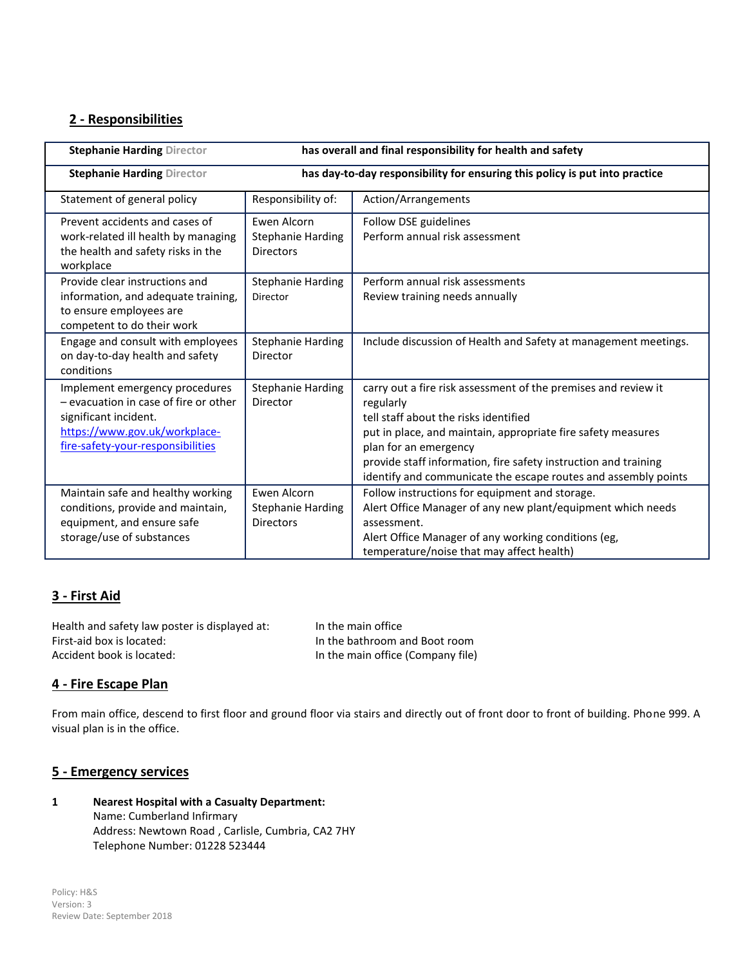## **2 - Responsibilities**

| has overall and final responsibility for health and safety<br><b>Stephanie Harding Director</b>                                                                        |                                                                             |                                                                                                                                                                                                                                                                                                                                                    |  |
|------------------------------------------------------------------------------------------------------------------------------------------------------------------------|-----------------------------------------------------------------------------|----------------------------------------------------------------------------------------------------------------------------------------------------------------------------------------------------------------------------------------------------------------------------------------------------------------------------------------------------|--|
| <b>Stephanie Harding Director</b>                                                                                                                                      | has day-to-day responsibility for ensuring this policy is put into practice |                                                                                                                                                                                                                                                                                                                                                    |  |
| Statement of general policy                                                                                                                                            | Responsibility of:                                                          | Action/Arrangements                                                                                                                                                                                                                                                                                                                                |  |
| Prevent accidents and cases of<br>work-related ill health by managing<br>the health and safety risks in the<br>workplace                                               | Ewen Alcorn<br><b>Stephanie Harding</b><br><b>Directors</b>                 | Follow DSE guidelines<br>Perform annual risk assessment                                                                                                                                                                                                                                                                                            |  |
| Provide clear instructions and<br>information, and adequate training,<br>to ensure employees are<br>competent to do their work                                         | <b>Stephanie Harding</b><br>Director                                        | Perform annual risk assessments<br>Review training needs annually                                                                                                                                                                                                                                                                                  |  |
| Engage and consult with employees<br>on day-to-day health and safety<br>conditions                                                                                     | <b>Stephanie Harding</b><br>Director                                        | Include discussion of Health and Safety at management meetings.                                                                                                                                                                                                                                                                                    |  |
| Implement emergency procedures<br>- evacuation in case of fire or other<br>significant incident.<br>https://www.gov.uk/workplace-<br>fire-safety-your-responsibilities | <b>Stephanie Harding</b><br>Director                                        | carry out a fire risk assessment of the premises and review it<br>regularly<br>tell staff about the risks identified<br>put in place, and maintain, appropriate fire safety measures<br>plan for an emergency<br>provide staff information, fire safety instruction and training<br>identify and communicate the escape routes and assembly points |  |
| Maintain safe and healthy working<br>conditions, provide and maintain,<br>equipment, and ensure safe<br>storage/use of substances                                      | Ewen Alcorn<br><b>Stephanie Harding</b><br><b>Directors</b>                 | Follow instructions for equipment and storage.<br>Alert Office Manager of any new plant/equipment which needs<br>assessment.<br>Alert Office Manager of any working conditions (eg,<br>temperature/noise that may affect health)                                                                                                                   |  |

### **3 - First Aid**

Health and safety law poster is displayed at: In the main office First-aid box is located: In the bathroom and Boot room Accident book is located: In the main office (Company file)

### **4 - Fire Escape Plan**

From main office, descend to first floor and ground floor via stairs and directly out of front door to front of building. Phone 999. A visual plan is in the office.

#### **5 - Emergency services**

**1 Nearest Hospital with a Casualty Department:** Name: Cumberland Infirmary Address: Newtown Road , Carlisle, Cumbria, CA2 7HY Telephone Number: 01228 523444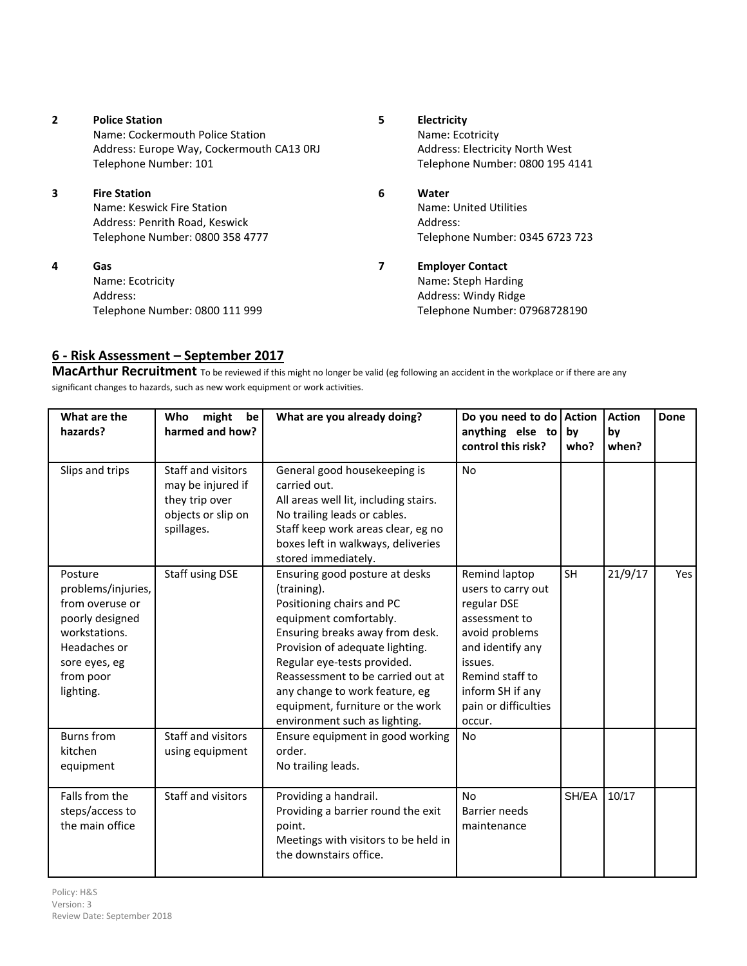| $\overline{2}$ | <b>Police Station</b><br>Name: Cockermouth Police Station<br>Address: Europe Way, Cockermouth CA13 ORJ<br>Telephone Number: 101 | 5 | Electricity<br>Name: Ecotricity<br><b>Address: Electricity North West</b><br>Telephone Number: 0800 195 4141 |
|----------------|---------------------------------------------------------------------------------------------------------------------------------|---|--------------------------------------------------------------------------------------------------------------|
| 3              | <b>Fire Station</b><br>Name: Keswick Fire Station<br>Address: Penrith Road, Keswick<br>Telephone Number: 0800 358 4777          | 6 | Water<br>Name: United Utilities<br>Address:<br>Telephone Number: 0345 6723 723                               |
| 4              | Gas<br>Name: Ecotricity<br>Address:<br>Telephone Number: 0800 111 999                                                           | 7 | <b>Employer Contact</b><br>Name: Steph Harding<br>Address: Windy Ridge<br>Telephone Number: 07968728190      |

# **6 - Risk Assessment – September 2017**

**MacArthur Recruitment** To be reviewed if this might no longer be valid (eg following an accident in the workplace or if there are any significant changes to hazards, such as new work equipment or work activities.

| What are the<br>hazards?                                                                                                                        | might<br>be<br>Who<br>harmed and how?                                                         | What are you already doing?                                                                                                                                                                                                                                                                                                                           | Do you need to do Action<br>anything else to<br>control this risk?                                                                                                                            | by<br>who? | <b>Action</b><br>by<br>when? | Done |
|-------------------------------------------------------------------------------------------------------------------------------------------------|-----------------------------------------------------------------------------------------------|-------------------------------------------------------------------------------------------------------------------------------------------------------------------------------------------------------------------------------------------------------------------------------------------------------------------------------------------------------|-----------------------------------------------------------------------------------------------------------------------------------------------------------------------------------------------|------------|------------------------------|------|
| Slips and trips                                                                                                                                 | Staff and visitors<br>may be injured if<br>they trip over<br>objects or slip on<br>spillages. | General good housekeeping is<br>carried out.<br>All areas well lit, including stairs.<br>No trailing leads or cables.<br>Staff keep work areas clear, eg no<br>boxes left in walkways, deliveries<br>stored immediately.                                                                                                                              | <b>No</b>                                                                                                                                                                                     |            |                              |      |
| Posture<br>problems/injuries,<br>from overuse or<br>poorly designed<br>workstations.<br>Headaches or<br>sore eyes, eg<br>from poor<br>lighting. | Staff using DSE                                                                               | Ensuring good posture at desks<br>(training).<br>Positioning chairs and PC<br>equipment comfortably.<br>Ensuring breaks away from desk.<br>Provision of adequate lighting.<br>Regular eye-tests provided.<br>Reassessment to be carried out at<br>any change to work feature, eg<br>equipment, furniture or the work<br>environment such as lighting. | Remind laptop<br>users to carry out<br>regular DSE<br>assessment to<br>avoid problems<br>and identify any<br>issues.<br>Remind staff to<br>inform SH if any<br>pain or difficulties<br>occur. | SH         | 21/9/17                      | Yes  |
| <b>Burns</b> from<br>kitchen<br>equipment                                                                                                       | Staff and visitors<br>using equipment                                                         | Ensure equipment in good working<br>order.<br>No trailing leads.                                                                                                                                                                                                                                                                                      | No                                                                                                                                                                                            |            |                              |      |
| Falls from the<br>steps/access to<br>the main office                                                                                            | Staff and visitors                                                                            | Providing a handrail.<br>Providing a barrier round the exit<br>point.<br>Meetings with visitors to be held in<br>the downstairs office.                                                                                                                                                                                                               | <b>No</b><br>Barrier needs<br>maintenance                                                                                                                                                     | SH/EA      | 10/17                        |      |